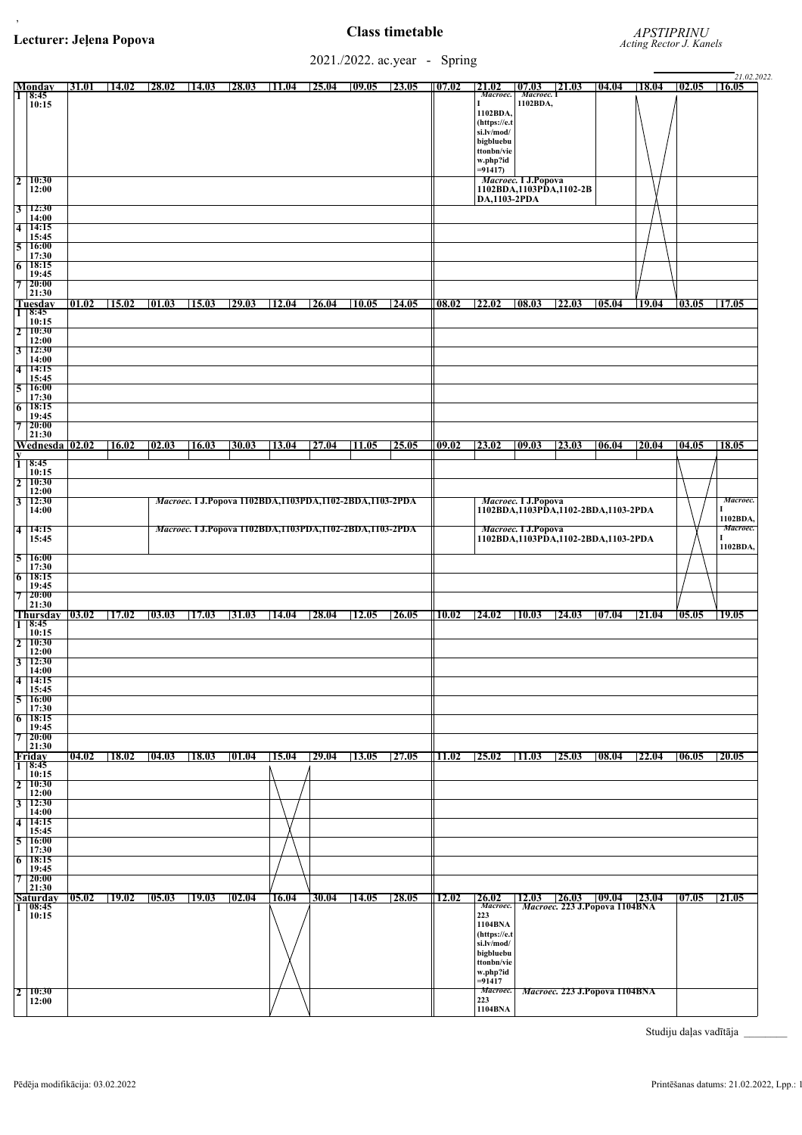,

2021./2022. ac.year - Spring

|                              |                              |                |       |       |       |       |                                                                |       |       |              |       |                     |                         |                                     |       |                               |       |       | 21.02.2022.           |
|------------------------------|------------------------------|----------------|-------|-------|-------|-------|----------------------------------------------------------------|-------|-------|--------------|-------|---------------------|-------------------------|-------------------------------------|-------|-------------------------------|-------|-------|-----------------------|
|                              | Monday                       |                | 31.01 | 14.02 | 28.02 | 14.03 | 28.03                                                          | 11.04 | 25.04 | 09.05        | 23.05 | 07.02               | 21.02                   | 07.03                               | 21.03 | 04.04                         | 18.04 | 02.05 | 16.05                 |
| π                            | 8:45<br>10:15                |                |       |       |       |       |                                                                |       |       |              |       |                     | Macroec.<br>г           | Macroec. 1<br>1102BDA,              |       |                               |       |       |                       |
|                              |                              |                |       |       |       |       |                                                                |       |       |              |       |                     | 1102BDA,                |                                     |       |                               |       |       |                       |
|                              |                              |                |       |       |       |       |                                                                |       |       |              |       |                     | (https://e.t            |                                     |       |                               |       |       |                       |
|                              |                              |                |       |       |       |       |                                                                |       |       |              |       |                     | si.lv/mod/              |                                     |       |                               |       |       |                       |
|                              |                              |                |       |       |       |       |                                                                |       |       |              |       |                     | bigbluebu<br>ttonbn/vie |                                     |       |                               |       |       |                       |
|                              |                              |                |       |       |       |       |                                                                |       |       |              |       |                     | w.php?id                |                                     |       |                               |       |       |                       |
|                              |                              |                |       |       |       |       |                                                                |       |       |              |       |                     | $= 91417$               |                                     |       |                               |       |       |                       |
| $\sqrt{2}$                   | 10:30                        |                |       |       |       |       |                                                                |       |       |              |       |                     |                         | Macroec. I J.Popova                 |       |                               |       |       |                       |
|                              | 12:00                        |                |       |       |       |       |                                                                |       |       |              |       |                     |                         | 1102BDA,1103PDA,1102-2B             |       |                               |       |       |                       |
|                              |                              |                |       |       |       |       |                                                                |       |       |              |       |                     | DA,1103-2PDA            |                                     |       |                               |       |       |                       |
| $\vert 3 \vert$              | 12:30<br>14:00               |                |       |       |       |       |                                                                |       |       |              |       |                     |                         |                                     |       |                               |       |       |                       |
| $\overline{4}$               | 14:15                        |                |       |       |       |       |                                                                |       |       |              |       |                     |                         |                                     |       |                               |       |       |                       |
|                              | 15:45                        |                |       |       |       |       |                                                                |       |       |              |       |                     |                         |                                     |       |                               |       |       |                       |
| $\overline{5}$               | <b>16:00</b>                 |                |       |       |       |       |                                                                |       |       |              |       |                     |                         |                                     |       |                               |       |       |                       |
|                              | 17:30<br>18:15               |                |       |       |       |       |                                                                |       |       |              |       |                     |                         |                                     |       |                               |       |       |                       |
| $\overline{6}$               | 19:45                        |                |       |       |       |       |                                                                |       |       |              |       |                     |                         |                                     |       |                               |       |       |                       |
| $\overline{7}$               | 20:00                        |                |       |       |       |       |                                                                |       |       |              |       |                     |                         |                                     |       |                               |       |       |                       |
|                              | 21:30                        |                |       |       |       |       |                                                                |       |       |              |       |                     |                         |                                     |       |                               |       |       |                       |
|                              | <b>Tuesday</b>               |                | 01.02 | 15.02 | 01.03 | 15.03 | 29.03                                                          | 12.04 | 26.04 | 10.05        | 24.05 | 08.02               | 22.02                   | 08.03                               | 22.03 | 05.04                         | 19.04 | 03.05 | $\vert 17.05 \rangle$ |
| $\vert 1 \vert$              | 8:45<br>10:15                |                |       |       |       |       |                                                                |       |       |              |       |                     |                         |                                     |       |                               |       |       |                       |
| $\overline{2}$               | 10:30                        |                |       |       |       |       |                                                                |       |       |              |       |                     |                         |                                     |       |                               |       |       |                       |
|                              | 12:00                        |                |       |       |       |       |                                                                |       |       |              |       |                     |                         |                                     |       |                               |       |       |                       |
| $\overline{3}$               | 12:30                        |                |       |       |       |       |                                                                |       |       |              |       |                     |                         |                                     |       |                               |       |       |                       |
| $\overline{4}$               | 14:00<br>14:15               |                |       |       |       |       |                                                                |       |       |              |       |                     |                         |                                     |       |                               |       |       |                       |
|                              | 15:45                        |                |       |       |       |       |                                                                |       |       |              |       |                     |                         |                                     |       |                               |       |       |                       |
| $\overline{5}$               | 16:00                        |                |       |       |       |       |                                                                |       |       |              |       |                     |                         |                                     |       |                               |       |       |                       |
|                              | 17:30                        |                |       |       |       |       |                                                                |       |       |              |       |                     |                         |                                     |       |                               |       |       |                       |
| 6                            | 18:15<br>19:45               |                |       |       |       |       |                                                                |       |       |              |       |                     |                         |                                     |       |                               |       |       |                       |
| $\overline{7}$               | 20:00                        |                |       |       |       |       |                                                                |       |       |              |       |                     |                         |                                     |       |                               |       |       |                       |
|                              | 21:30                        |                |       |       |       |       |                                                                |       |       |              |       |                     |                         |                                     |       |                               |       |       |                       |
|                              |                              | Wednesda 02.02 |       | 16.02 | 02.03 | 16.03 | 30.03                                                          | 13.04 | 27.04 | 11.05        | 25.05 | 09.02               | 23.02                   | 09.03                               | 23.03 | 06.04                         | 20.04 | 04.05 | 18.05                 |
| $\overline{\mathbf{y}}$      | 8:45                         |                |       |       |       |       |                                                                |       |       |              |       |                     |                         |                                     |       |                               |       |       |                       |
|                              | 10:15                        |                |       |       |       |       |                                                                |       |       |              |       |                     |                         |                                     |       |                               |       |       |                       |
| $\overline{2}$               | 10:30                        |                |       |       |       |       |                                                                |       |       |              |       |                     |                         |                                     |       |                               |       |       |                       |
|                              | 12:00                        |                |       |       |       |       |                                                                |       |       |              |       |                     |                         |                                     |       |                               |       |       |                       |
| $\overline{3}$               | 12:30                        |                |       |       |       |       | <i>Macroec.</i> I J.Popova 1102BDA,1103PDA,1102-2BDA,1103-2PDA |       |       |              |       |                     |                         | Macroec. I J.Popova                 |       |                               |       |       | Macroec.              |
|                              | 14:00                        |                |       |       |       |       |                                                                |       |       |              |       |                     |                         | 1102BDA,1103PDA,1102-2BDA,1103-2PDA |       |                               |       |       | 1102BDA,              |
| $\overline{4}$               | 14:15                        |                |       |       |       |       | <i>Macroec.</i> I J.Popova 1102BDA,1103PDA,1102-2BDA,1103-2PDA |       |       |              |       |                     |                         | <i>Macroec.</i> I J.Popova          |       |                               |       |       | Macroec.              |
|                              | 15:45                        |                |       |       |       |       |                                                                |       |       |              |       |                     |                         | 1102BDA,1103PDA,1102-2BDA,1103-2PDA |       |                               |       |       |                       |
|                              |                              |                |       |       |       |       |                                                                |       |       |              |       |                     |                         |                                     |       |                               |       |       | 1102BDA               |
| $\overline{5}$               | <b>16:00</b>                 |                |       |       |       |       |                                                                |       |       |              |       |                     |                         |                                     |       |                               |       |       |                       |
| $\overline{6}$               | 17:30<br>18:15               |                |       |       |       |       |                                                                |       |       |              |       |                     |                         |                                     |       |                               |       |       |                       |
|                              |                              |                |       |       |       |       |                                                                |       |       |              |       |                     |                         |                                     |       |                               |       |       |                       |
| $\overline{7}$               |                              |                |       |       |       |       |                                                                |       |       |              |       |                     |                         |                                     |       |                               |       |       |                       |
|                              | 19:45<br>20:00               |                |       |       |       |       |                                                                |       |       |              |       |                     |                         |                                     |       |                               |       |       |                       |
| $\mathbf 1$                  | 21:30                        |                |       |       |       |       |                                                                |       |       |              |       |                     |                         |                                     |       |                               |       |       |                       |
|                              |                              | Thursday 03.02 |       | 17.02 | 03.03 | 17.03 | 31.03                                                          | 14.04 | 28.04 | <b>12.05</b> | 26.05 | <b>10.02</b>        | 24.02                   | 10.03                               | 24.03 | 07.04                         | 21.04 | 05.05 | 19.05                 |
|                              | 18:45                        |                |       |       |       |       |                                                                |       |       |              |       |                     |                         |                                     |       |                               |       |       |                       |
|                              | 10:15<br>10:30               |                |       |       |       |       |                                                                |       |       |              |       |                     |                         |                                     |       |                               |       |       |                       |
| $\vert 2 \vert$              | 12:00                        |                |       |       |       |       |                                                                |       |       |              |       |                     |                         |                                     |       |                               |       |       |                       |
| $\overline{3}$               | 12:30                        |                |       |       |       |       |                                                                |       |       |              |       |                     |                         |                                     |       |                               |       |       |                       |
|                              | 14:00                        |                |       |       |       |       |                                                                |       |       |              |       |                     |                         |                                     |       |                               |       |       |                       |
|                              | $4 \overline{14:15}$         |                |       |       |       |       |                                                                |       |       |              |       |                     |                         |                                     |       |                               |       |       |                       |
| $\overline{5}$               | 15:45<br><b>16:00</b>        |                |       |       |       |       |                                                                |       |       |              |       |                     |                         |                                     |       |                               |       |       |                       |
|                              | 17:30                        |                |       |       |       |       |                                                                |       |       |              |       |                     |                         |                                     |       |                               |       |       |                       |
|                              | $6 \mid 18:15$               |                |       |       |       |       |                                                                |       |       |              |       |                     |                         |                                     |       |                               |       |       |                       |
|                              | 19:45                        |                |       |       |       |       |                                                                |       |       |              |       |                     |                         |                                     |       |                               |       |       |                       |
| $\overline{7}$               | 20:00<br>21:30               |                |       |       |       |       |                                                                |       |       |              |       |                     |                         |                                     |       |                               |       |       |                       |
|                              | Friday                       |                | 04.02 | 18.02 | 04.03 | 18.03 | 01.04                                                          | 15.04 | 29.04 | <b>13.05</b> | 27.05 | $\vert 11.02 \vert$ | 25.02                   | 11.03                               | 25.03 | 08.04                         | 22.04 | 06.05 | 20.05                 |
|                              | $1 \, 8:45$                  |                |       |       |       |       |                                                                |       |       |              |       |                     |                         |                                     |       |                               |       |       |                       |
|                              | 10:15                        |                |       |       |       |       |                                                                |       |       |              |       |                     |                         |                                     |       |                               |       |       |                       |
| $\overline{2}$               | 10:30<br>12:00               |                |       |       |       |       |                                                                |       |       |              |       |                     |                         |                                     |       |                               |       |       |                       |
|                              | 12:30                        |                |       |       |       |       |                                                                |       |       |              |       |                     |                         |                                     |       |                               |       |       |                       |
|                              | 14:00                        |                |       |       |       |       |                                                                |       |       |              |       |                     |                         |                                     |       |                               |       |       |                       |
|                              | $4 \overline{14:15}$         |                |       |       |       |       |                                                                |       |       |              |       |                     |                         |                                     |       |                               |       |       |                       |
|                              | 15:45<br>16:00               |                |       |       |       |       |                                                                |       |       |              |       |                     |                         |                                     |       |                               |       |       |                       |
|                              | 17:30                        |                |       |       |       |       |                                                                |       |       |              |       |                     |                         |                                     |       |                               |       |       |                       |
| $\overline{6}$               | 18:15                        |                |       |       |       |       |                                                                |       |       |              |       |                     |                         |                                     |       |                               |       |       |                       |
| $\sqrt{3}$<br>$\overline{5}$ | 19:45                        |                |       |       |       |       |                                                                |       |       |              |       |                     |                         |                                     |       |                               |       |       |                       |
| $\overline{7}$               | 20:00<br>21:30               |                |       |       |       |       |                                                                |       |       |              |       |                     |                         |                                     |       |                               |       |       |                       |
|                              |                              |                | 05.02 | 19.02 | 05.03 | 19.03 | 02.04                                                          | 16.04 | 30.04 | 14.05        | 28.05 | 12.02               | 26.02                   | 12.03                               | 26.03 | 09.04                         | 23.04 | 07.05 | 21.05                 |
|                              | <b>Saturday</b><br>1   08:45 |                |       |       |       |       |                                                                |       |       |              |       |                     | Macroec.                |                                     |       | Macroec. 223 J.Popova 1104BNA |       |       |                       |
|                              | 10:15                        |                |       |       |       |       |                                                                |       |       |              |       |                     | 223                     |                                     |       |                               |       |       |                       |
|                              |                              |                |       |       |       |       |                                                                |       |       |              |       |                     | 1104BNA<br>(https://e.t |                                     |       |                               |       |       |                       |
|                              |                              |                |       |       |       |       |                                                                |       |       |              |       |                     | si.lv/mod/              |                                     |       |                               |       |       |                       |
|                              |                              |                |       |       |       |       |                                                                |       |       |              |       |                     | bigbluebu               |                                     |       |                               |       |       |                       |
|                              |                              |                |       |       |       |       |                                                                |       |       |              |       |                     | ttonbn/vie              |                                     |       |                               |       |       |                       |
|                              |                              |                |       |       |       |       |                                                                |       |       |              |       |                     | w.php?id                |                                     |       |                               |       |       |                       |
|                              |                              |                |       |       |       |       |                                                                |       |       |              |       |                     | $= 91417$<br>Macroec.   |                                     |       |                               |       |       |                       |
| $\sqrt{2}$                   | <b>10:30</b><br>12:00        |                |       |       |       |       |                                                                |       |       |              |       |                     | 223<br>1104BNA          |                                     |       | Macroec. 223 J.Popova 1104BNA |       |       |                       |

Studiju daļas vadītāja $\_$